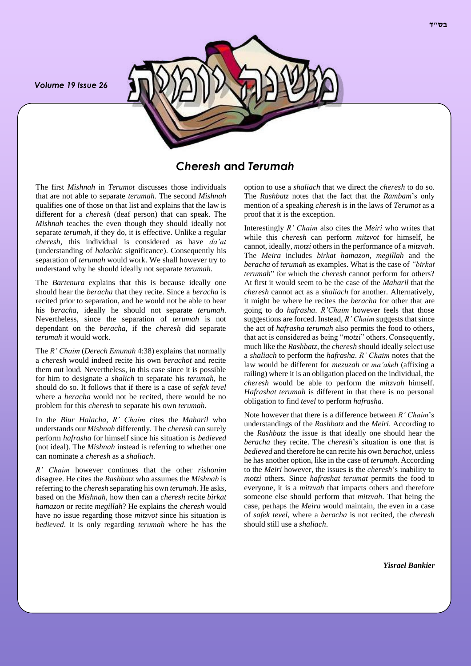*Volume 19 Issue 26*



# *Cheresh* **and** *Terumah*

The first *Mishnah* in *Terumot* discusses those individuals that are not able to separate *terumah.* The second *Mishnah* qualifies one of those on that list and explains that the law is different for a *cheresh* (deaf person) that can speak. The *Mishnah* teaches the even though they should ideally not separate *terumah*, if they do, it is effective. Unlike a regular *cheresh*, this individual is considered as have *da'at* (understanding of *halachic* significance). Consequently his separation of *terumah* would work. We shall however try to understand why he should ideally not separate *terumah*.

The *Bartenura* explains that this is because ideally one should hear the *beracha* that they recite. Since a *beracha* is recited prior to separation, and he would not be able to hear his *beracha*, ideally he should not separate *terumah*. Nevertheless, since the separation of *terumah* is not dependant on the *beracha*, if the *cheresh* did separate *terumah* it would work.

The *R' Chaim* (*Derech Emunah* 4:38) explains that normally a *cheresh* would indeed recite his own *berachot* and recite them out loud. Nevertheless, in this case since it is possible for him to designate a *shalich* to separate his *terumah*, he should do so. It follows that if there is a case of *sefek tevel* where a *beracha* would not be recited, there would be no problem for this *cheresh* to separate his own *terumah*.

In the *Biur Halacha*, *R' Chaim* cites the *Maharil* who understands our *Mishnah* differently. The *cheresh* can surely perform *hafrasha* for himself since his situation is *bedieved* (not ideal). The *Mishnah* instead is referring to whether one can nominate a *cheresh* as a *shaliach*.

*R' Chaim* however continues that the other *rishonim* disagree. He cites the *Rashbatz* who assumes the *Mishnah* is referring to the *cheresh* separating his own *terumah*. He asks, based on the *Mishnah*, how then can a *cheresh* recite *birkat hamazon* or recite *megillah*? He explains the *cheresh* would have no issue regarding those *mitzvot* since his situation is *bedieved*. It is only regarding *terumah* where he has the option to use a *shaliach* that we direct the *cheresh* to do so. The *Rashbatz* notes that the fact that the *Rambam*'s only mention of a speaking *cheresh* is in the laws of *Terumot* as a proof that it is the exception.

Interestingly *R' Chaim* also cites the *Meiri* who writes that while this *cheresh* can perform *mitzvot* for himself, he cannot, ideally, *motzi* others in the performance of a *mitzvah*. The *Meira* includes *birkat hamazon, megillah* and the *beracha* of *terumah* as examples. What is the case of *"birkat terumah*" for which the *cheresh* cannot perform for others? At first it would seem to be the case of the *Maharil* that the *cheresh* cannot act as a *shaliach* for another. Alternatively, it might be where he recites the *beracha* for other that are going to do *hafrasha*. *R'Chaim* however feels that those suggestions are forced. Instead, *R' Chaim* suggests that since the act of *hafrasha terumah* also permits the food to others, that act is considered as being "*motzi*" others. Consequently, much like the *Rashbatz*, the *cheresh* should ideally select use a *shaliach* to perform the *hafrasha*. *R' Chaim* notes that the law would be different for *mezuzah* or *ma'akeh* (affixing a railing) where it is an obligation placed on the individual, the *cheresh* would be able to perform the *mitzvah* himself. *Hafrashat terumah* is different in that there is no personal obligation to find *tevel* to perform *hafrasha*.

Note however that there is a difference between *R' Chaim*'s understandings of the *Rashbatz* and the *Meiri*. According to the *Rashbatz* the issue is that ideally one should hear the *beracha* they recite. The *cheresh*'s situation is one that is *bedieved* and therefore he can recite his own *berachot*, unless he has another option, like in the case of *terumah*. According to the *Meiri* however, the issues is the *cheresh*'s inability to *motzi* others. Since *hafrashat terumat* permits the food to everyone, it is a *mitzvah* that impacts others and therefore someone else should perform that *mitzvah*. That being the case, perhaps the *Meira* would maintain, the even in a case of *safek tevel*, where a *beracha* is not recited, the *cheresh* should still use a *shaliach*.

*Yisrael Bankier*